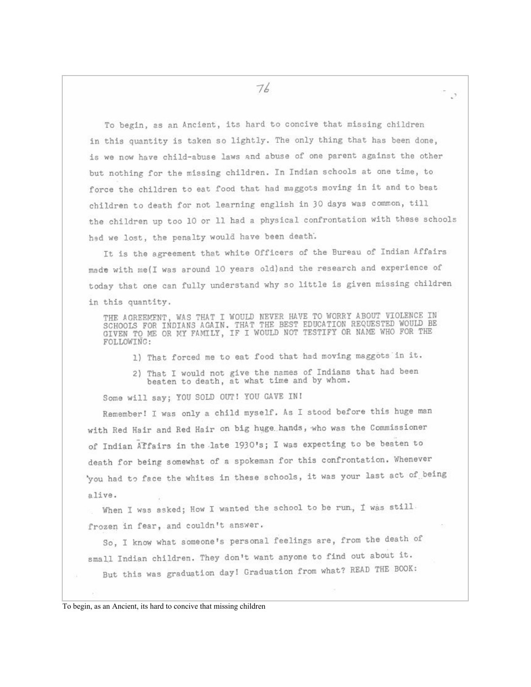To begin, as an Ancient, its hard to concive that missing children in this quantity is taken so lightly. The only thing that has been done. is we now have child-abuse laws and abuse of one parent against the other but nothing for the missing children. In Indian schools at one time, to force the children to eat food that had maggots moving in it and to beat children to death for not learning english in 30 days was common, till the children up too 10 or 11 had a physical confrontation with these schools had we lost, the penalty would have been death.

It is the agreement that white Officers of the Bureau of Indian Affairs made with me(I was around 10 years old) and the research and experience of today that one can fully understand why so little is given missing children in this quantity.

THE AGREEMENT, WAS THAT I WOULD NEVER HAVE TO WORRY ABOUT VIOLENCE IN SCHOOLS FOR INDIANS AGAIN. THAT THE BEST EDUCATION REQUESTED WOULD BE GIVEN TO ME OR MY FAMILY, IF I WOULD NOT TESTIFY OR NAME WHO FOR THE FOLLOWING:

- 1) That forced me to eat food that had moving maggots in it.
- 2) That I would not give the names of Indians that had been beaten to death, at what time and by whom.

Some will say; YOU SOLD OUT! YOU GAVE IN!

Remember! I was only a child myself. As I stood before this huge man with Red Hair and Red Hair on big huge hands, who was the Commissioner of Indian Affairs in the late 1930's; I was expecting to be beaten to death for being somewhat of a spokeman for this confrontation. Whenever 'you had to face the whites in these schools, it was your last act of being alive.

When I was asked; How I wanted the school to be run, I was still. frozen in fear, and couldn't answer.

So, I know what someone's personal feelings are, from the death of small Indian children. They don't want anyone to find out about it. But this was graduation day! Graduation from what? READ THE BOOK: